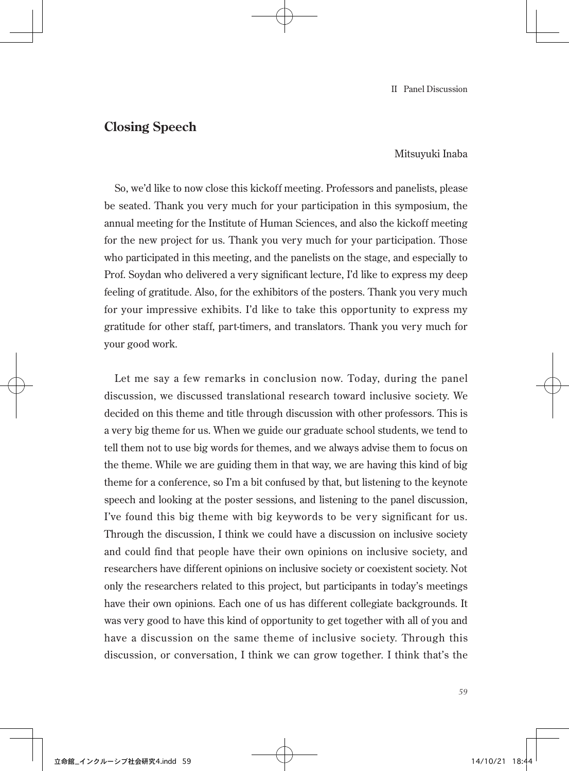## **Closing Speech**

Mitsuyuki Inaba

So, we'd like to now close this kickoff meeting. Professors and panelists, please be seated. Thank you very much for your participation in this symposium, the annual meeting for the Institute of Human Sciences, and also the kickoff meeting for the new project for us. Thank you very much for your participation. Those who participated in this meeting, and the panelists on the stage, and especially to Prof. Soydan who delivered a very significant lecture, I'd like to express my deep feeling of gratitude. Also, for the exhibitors of the posters. Thank you very much for your impressive exhibits. I'd like to take this opportunity to express my gratitude for other staff, part-timers, and translators. Thank you very much for your good work.

Let me say a few remarks in conclusion now. Today, during the panel discussion, we discussed translational research toward inclusive society. We decided on this theme and title through discussion with other professors. This is a very big theme for us. When we guide our graduate school students, we tend to tell them not to use big words for themes, and we always advise them to focus on the theme. While we are guiding them in that way, we are having this kind of big theme for a conference, so I'm a bit confused by that, but listening to the keynote speech and looking at the poster sessions, and listening to the panel discussion, I've found this big theme with big keywords to be very significant for us. Through the discussion, I think we could have a discussion on inclusive society and could find that people have their own opinions on inclusive society, and researchers have different opinions on inclusive society or coexistent society. Not only the researchers related to this project, but participants in today's meetings have their own opinions. Each one of us has different collegiate backgrounds. It was very good to have this kind of opportunity to get together with all of you and have a discussion on the same theme of inclusive society. Through this discussion, or conversation, I think we can grow together. I think that's the